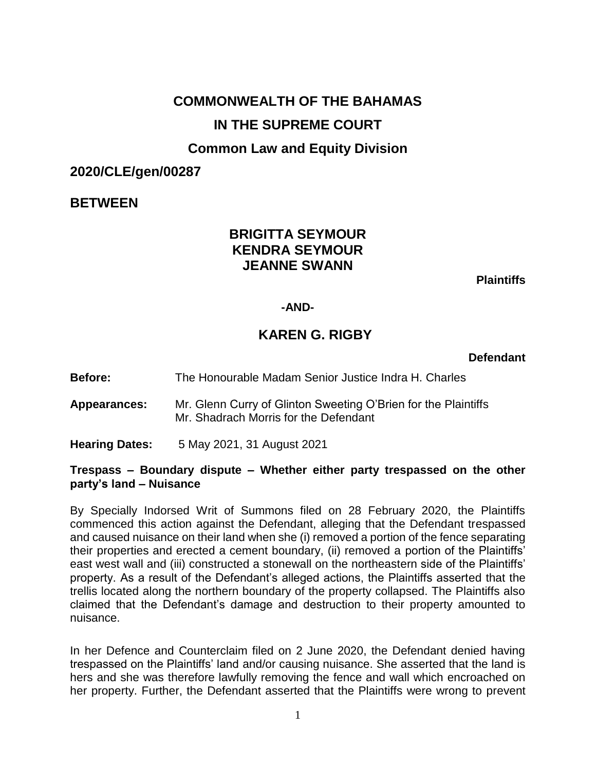# **COMMONWEALTH OF THE BAHAMAS IN THE SUPREME COURT**

# **Common Law and Equity Division**

# **2020/CLE/gen/00287**

# **BETWEEN**

# **BRIGITTA SEYMOUR KENDRA SEYMOUR JEANNE SWANN**

**Plaintiffs**

#### **-AND-**

# **KAREN G. RIGBY**

**Defendant**

- **Before:** The Honourable Madam Senior Justice Indra H. Charles
- **Appearances:** Mr. Glenn Curry of Glinton Sweeting O'Brien for the Plaintiffs Mr. Shadrach Morris for the Defendant
- **Hearing Dates:** 5 May 2021, 31 August 2021

#### **Trespass – Boundary dispute – Whether either party trespassed on the other party's land – Nuisance**

By Specially Indorsed Writ of Summons filed on 28 February 2020, the Plaintiffs commenced this action against the Defendant, alleging that the Defendant trespassed and caused nuisance on their land when she (i) removed a portion of the fence separating their properties and erected a cement boundary, (ii) removed a portion of the Plaintiffs' east west wall and (iii) constructed a stonewall on the northeastern side of the Plaintiffs' property. As a result of the Defendant's alleged actions, the Plaintiffs asserted that the trellis located along the northern boundary of the property collapsed. The Plaintiffs also claimed that the Defendant's damage and destruction to their property amounted to nuisance.

In her Defence and Counterclaim filed on 2 June 2020, the Defendant denied having trespassed on the Plaintiffs' land and/or causing nuisance. She asserted that the land is hers and she was therefore lawfully removing the fence and wall which encroached on her property. Further, the Defendant asserted that the Plaintiffs were wrong to prevent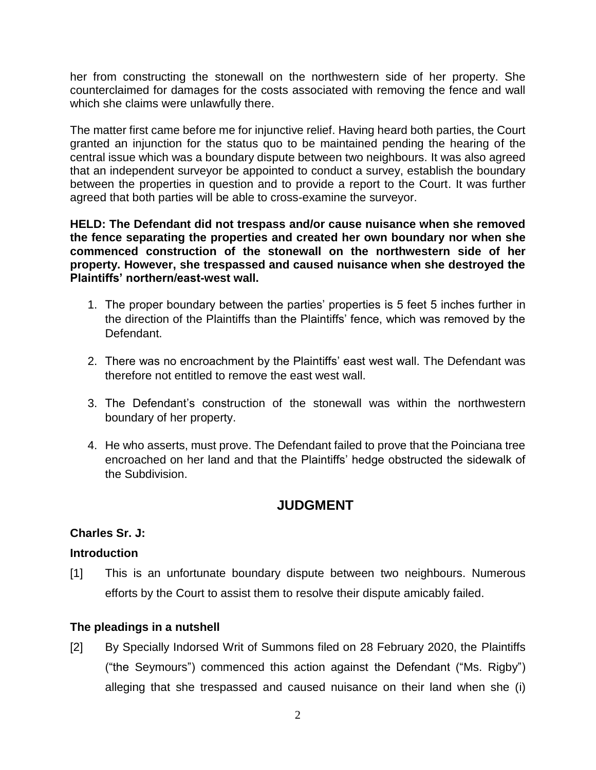her from constructing the stonewall on the northwestern side of her property. She counterclaimed for damages for the costs associated with removing the fence and wall which she claims were unlawfully there.

The matter first came before me for injunctive relief. Having heard both parties, the Court granted an injunction for the status quo to be maintained pending the hearing of the central issue which was a boundary dispute between two neighbours. It was also agreed that an independent surveyor be appointed to conduct a survey, establish the boundary between the properties in question and to provide a report to the Court. It was further agreed that both parties will be able to cross-examine the surveyor.

**HELD: The Defendant did not trespass and/or cause nuisance when she removed the fence separating the properties and created her own boundary nor when she commenced construction of the stonewall on the northwestern side of her property. However, she trespassed and caused nuisance when she destroyed the Plaintiffs' northern/east-west wall.** 

- 1. The proper boundary between the parties' properties is 5 feet 5 inches further in the direction of the Plaintiffs than the Plaintiffs' fence, which was removed by the Defendant.
- 2. There was no encroachment by the Plaintiffs' east west wall. The Defendant was therefore not entitled to remove the east west wall.
- 3. The Defendant's construction of the stonewall was within the northwestern boundary of her property.
- 4. He who asserts, must prove. The Defendant failed to prove that the Poinciana tree encroached on her land and that the Plaintiffs' hedge obstructed the sidewalk of the Subdivision.

# **JUDGMENT**

### **Charles Sr. J:**

### **Introduction**

[1] This is an unfortunate boundary dispute between two neighbours. Numerous efforts by the Court to assist them to resolve their dispute amicably failed.

### **The pleadings in a nutshell**

[2] By Specially Indorsed Writ of Summons filed on 28 February 2020, the Plaintiffs ("the Seymours") commenced this action against the Defendant ("Ms. Rigby") alleging that she trespassed and caused nuisance on their land when she (i)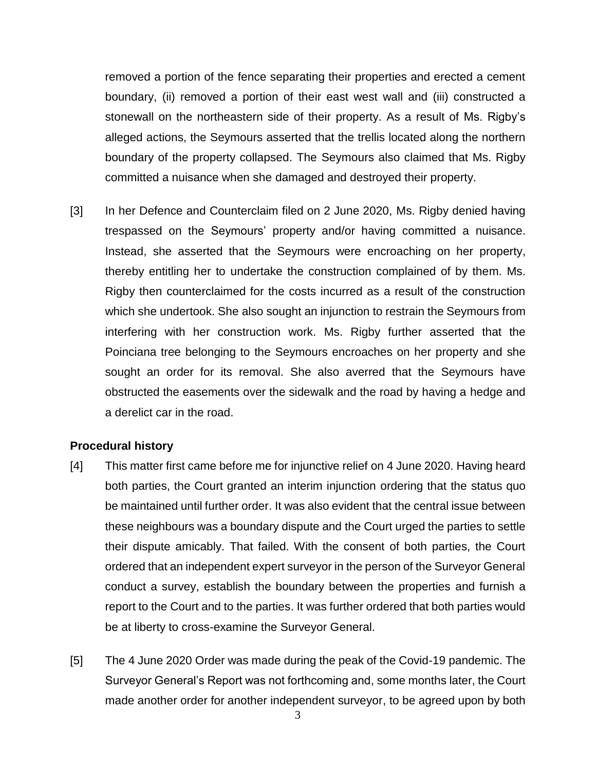removed a portion of the fence separating their properties and erected a cement boundary, (ii) removed a portion of their east west wall and (iii) constructed a stonewall on the northeastern side of their property. As a result of Ms. Rigby's alleged actions, the Seymours asserted that the trellis located along the northern boundary of the property collapsed. The Seymours also claimed that Ms. Rigby committed a nuisance when she damaged and destroyed their property.

[3] In her Defence and Counterclaim filed on 2 June 2020, Ms. Rigby denied having trespassed on the Seymours' property and/or having committed a nuisance. Instead, she asserted that the Seymours were encroaching on her property, thereby entitling her to undertake the construction complained of by them. Ms. Rigby then counterclaimed for the costs incurred as a result of the construction which she undertook. She also sought an injunction to restrain the Seymours from interfering with her construction work. Ms. Rigby further asserted that the Poinciana tree belonging to the Seymours encroaches on her property and she sought an order for its removal. She also averred that the Seymours have obstructed the easements over the sidewalk and the road by having a hedge and a derelict car in the road.

#### **Procedural history**

- [4] This matter first came before me for injunctive relief on 4 June 2020. Having heard both parties, the Court granted an interim injunction ordering that the status quo be maintained until further order. It was also evident that the central issue between these neighbours was a boundary dispute and the Court urged the parties to settle their dispute amicably. That failed. With the consent of both parties, the Court ordered that an independent expert surveyor in the person of the Surveyor General conduct a survey, establish the boundary between the properties and furnish a report to the Court and to the parties. It was further ordered that both parties would be at liberty to cross-examine the Surveyor General.
- [5] The 4 June 2020 Order was made during the peak of the Covid-19 pandemic. The Surveyor General's Report was not forthcoming and, some months later, the Court made another order for another independent surveyor, to be agreed upon by both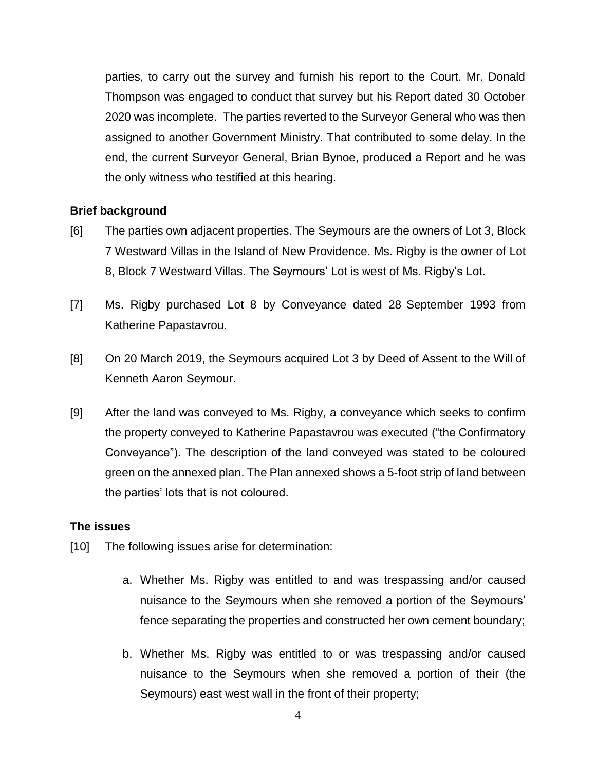parties, to carry out the survey and furnish his report to the Court. Mr. Donald Thompson was engaged to conduct that survey but his Report dated 30 October 2020 was incomplete. The parties reverted to the Surveyor General who was then assigned to another Government Ministry. That contributed to some delay. In the end, the current Surveyor General, Brian Bynoe, produced a Report and he was the only witness who testified at this hearing.

#### **Brief background**

- [6] The parties own adjacent properties. The Seymours are the owners of Lot 3, Block 7 Westward Villas in the Island of New Providence. Ms. Rigby is the owner of Lot 8, Block 7 Westward Villas. The Seymours' Lot is west of Ms. Rigby's Lot.
- [7] Ms. Rigby purchased Lot 8 by Conveyance dated 28 September 1993 from Katherine Papastavrou.
- [8] On 20 March 2019, the Seymours acquired Lot 3 by Deed of Assent to the Will of Kenneth Aaron Seymour.
- [9] After the land was conveyed to Ms. Rigby, a conveyance which seeks to confirm the property conveyed to Katherine Papastavrou was executed ("the Confirmatory Conveyance"). The description of the land conveyed was stated to be coloured green on the annexed plan. The Plan annexed shows a 5-foot strip of land between the parties' lots that is not coloured.

#### **The issues**

- [10] The following issues arise for determination:
	- a. Whether Ms. Rigby was entitled to and was trespassing and/or caused nuisance to the Seymours when she removed a portion of the Seymours' fence separating the properties and constructed her own cement boundary;
	- b. Whether Ms. Rigby was entitled to or was trespassing and/or caused nuisance to the Seymours when she removed a portion of their (the Seymours) east west wall in the front of their property;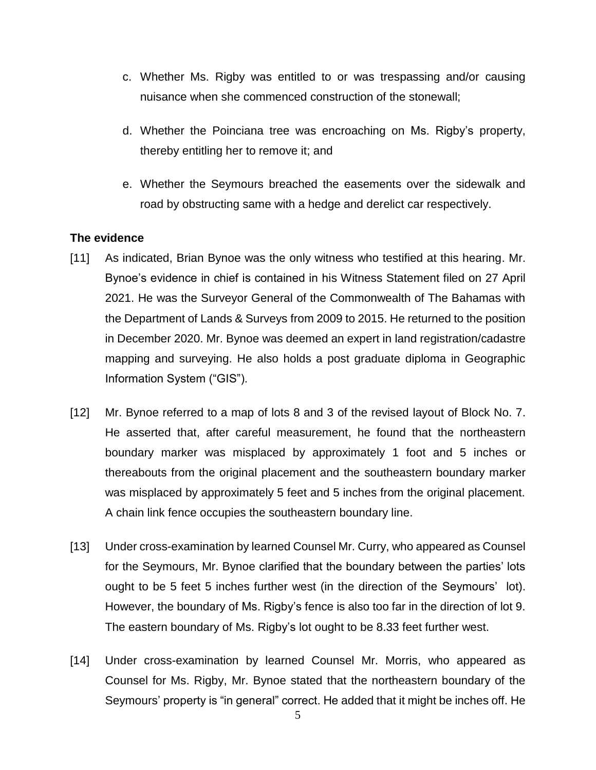- c. Whether Ms. Rigby was entitled to or was trespassing and/or causing nuisance when she commenced construction of the stonewall;
- d. Whether the Poinciana tree was encroaching on Ms. Rigby's property, thereby entitling her to remove it; and
- e. Whether the Seymours breached the easements over the sidewalk and road by obstructing same with a hedge and derelict car respectively.

#### **The evidence**

- [11] As indicated, Brian Bynoe was the only witness who testified at this hearing. Mr. Bynoe's evidence in chief is contained in his Witness Statement filed on 27 April 2021. He was the Surveyor General of the Commonwealth of The Bahamas with the Department of Lands & Surveys from 2009 to 2015. He returned to the position in December 2020. Mr. Bynoe was deemed an expert in land registration/cadastre mapping and surveying. He also holds a post graduate diploma in Geographic Information System ("GIS").
- [12] Mr. Bynoe referred to a map of lots 8 and 3 of the revised layout of Block No. 7. He asserted that, after careful measurement, he found that the northeastern boundary marker was misplaced by approximately 1 foot and 5 inches or thereabouts from the original placement and the southeastern boundary marker was misplaced by approximately 5 feet and 5 inches from the original placement. A chain link fence occupies the southeastern boundary line.
- [13] Under cross-examination by learned Counsel Mr. Curry, who appeared as Counsel for the Seymours, Mr. Bynoe clarified that the boundary between the parties' lots ought to be 5 feet 5 inches further west (in the direction of the Seymours' lot). However, the boundary of Ms. Rigby's fence is also too far in the direction of lot 9. The eastern boundary of Ms. Rigby's lot ought to be 8.33 feet further west.
- [14] Under cross-examination by learned Counsel Mr. Morris, who appeared as Counsel for Ms. Rigby, Mr. Bynoe stated that the northeastern boundary of the Seymours' property is "in general" correct. He added that it might be inches off. He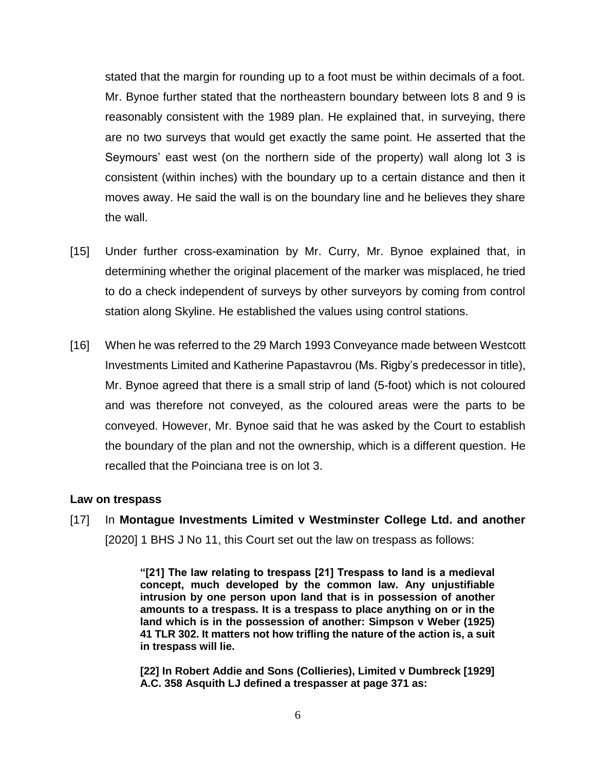stated that the margin for rounding up to a foot must be within decimals of a foot. Mr. Bynoe further stated that the northeastern boundary between lots 8 and 9 is reasonably consistent with the 1989 plan. He explained that, in surveying, there are no two surveys that would get exactly the same point. He asserted that the Seymours' east west (on the northern side of the property) wall along lot 3 is consistent (within inches) with the boundary up to a certain distance and then it moves away. He said the wall is on the boundary line and he believes they share the wall.

- [15] Under further cross-examination by Mr. Curry, Mr. Bynoe explained that, in determining whether the original placement of the marker was misplaced, he tried to do a check independent of surveys by other surveyors by coming from control station along Skyline. He established the values using control stations.
- [16] When he was referred to the 29 March 1993 Conveyance made between Westcott Investments Limited and Katherine Papastavrou (Ms. Rigby's predecessor in title), Mr. Bynoe agreed that there is a small strip of land (5-foot) which is not coloured and was therefore not conveyed, as the coloured areas were the parts to be conveyed. However, Mr. Bynoe said that he was asked by the Court to establish the boundary of the plan and not the ownership, which is a different question. He recalled that the Poinciana tree is on lot 3.

#### **Law on trespass**

[17] In **Montague Investments Limited v Westminster College Ltd. and another** [2020] 1 BHS J No 11, this Court set out the law on trespass as follows:

> **"[21] The law relating to trespass [21] Trespass to land is a medieval concept, much developed by the common law. Any unjustifiable intrusion by one person upon land that is in possession of another amounts to a trespass. It is a trespass to place anything on or in the land which is in the possession of another: Simpson v Weber (1925) 41 TLR 302. It matters not how trifling the nature of the action is, a suit in trespass will lie.**

> **[22] In Robert Addie and Sons (Collieries), Limited v Dumbreck [1929] A.C. 358 Asquith LJ defined a trespasser at page 371 as:**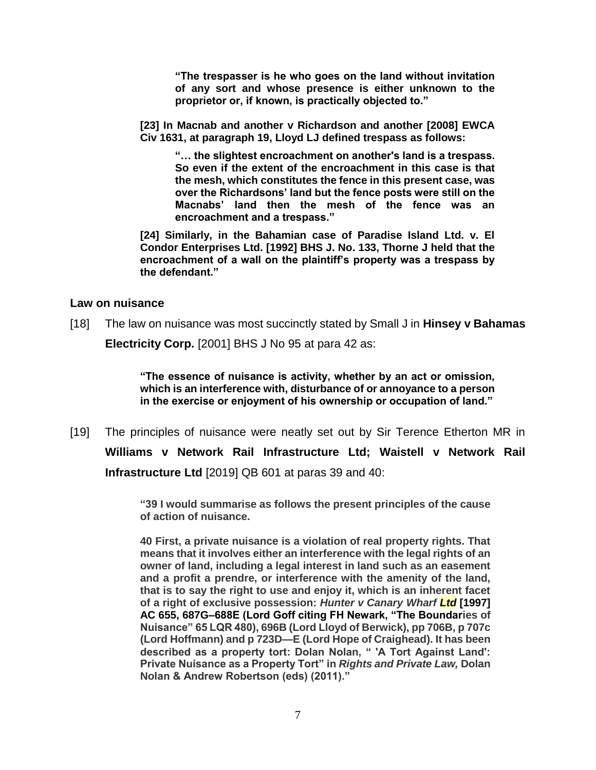**"The trespasser is he who goes on the land without invitation of any sort and whose presence is either unknown to the proprietor or, if known, is practically objected to."**

**[23] In Macnab and another v Richardson and another [2008] EWCA Civ 1631, at paragraph 19, Lloyd LJ defined trespass as follows:** 

**"… the slightest encroachment on another's land is a trespass. So even if the extent of the encroachment in this case is that the mesh, which constitutes the fence in this present case, was over the Richardsons' land but the fence posts were still on the Macnabs' land then the mesh of the fence was an encroachment and a trespass."** 

**[24] Similarly, in the Bahamian case of Paradise Island Ltd. v. El Condor Enterprises Ltd. [1992] BHS J. No. 133, Thorne J held that the encroachment of a wall on the plaintiff's property was a trespass by the defendant."**

#### **Law on nuisance**

[18] The law on nuisance was most succinctly stated by Small J in **Hinsey v Bahamas Electricity Corp.** [2001] BHS J No 95 at para 42 as:

> **"The essence of nuisance is activity, whether by an act or omission, which is an interference with, disturbance of or annoyance to a person**

**in the exercise or enjoyment of his ownership or occupation of land."**

[19] The principles of nuisance were neatly set out by Sir Terence Etherton MR in **Williams v Network Rail Infrastructure Ltd; Waistell v Network Rail Infrastructure Ltd** [2019] QB 601 at paras 39 and 40:

> **"39 I would summarise as follows the present principles of the cause of action of nuisance.**

> **40 First, a private nuisance is a violation of real property rights. That means that it involves either an interference with the legal rights of an owner of land, including a legal interest in land such as an easement and a profit a prendre, or interference with the amenity of the land, that is to say the right to use and enjoy it, which is an inherent facet of a right of exclusive possession:** *Hunter v Canary Wharf Ltd* **[\[1997\]](https://www.lexisnexis.com/uk/legal/search/enhRunRemoteLink.do?linkInfo=F%23GB%23AC%23sel1%251997%25year%251997%25page%25655%25&A=0.36035719508581543&backKey=20_T469800789&service=citation&ersKey=23_T469800756&langcountry=GB)  [AC 655,](https://www.lexisnexis.com/uk/legal/search/enhRunRemoteLink.do?linkInfo=F%23GB%23AC%23sel1%251997%25year%251997%25page%25655%25&A=0.36035719508581543&backKey=20_T469800789&service=citation&ersKey=23_T469800756&langcountry=GB) 687G–688E (Lord Goff citing FH Newark, "The Boundaries of Nuisance" 65 LQR 480), 696B (Lord Lloyd of Berwick), pp 706B, p 707c (Lord Hoffmann) and p 723D—E (Lord Hope of Craighead). It has been described as a property tort: Dolan Nolan, " 'A Tort Against Land': Private Nuisance as a Property Tort" in** *Rights and Private Law,* **Dolan Nolan & Andrew Robertson (eds) (2011)."**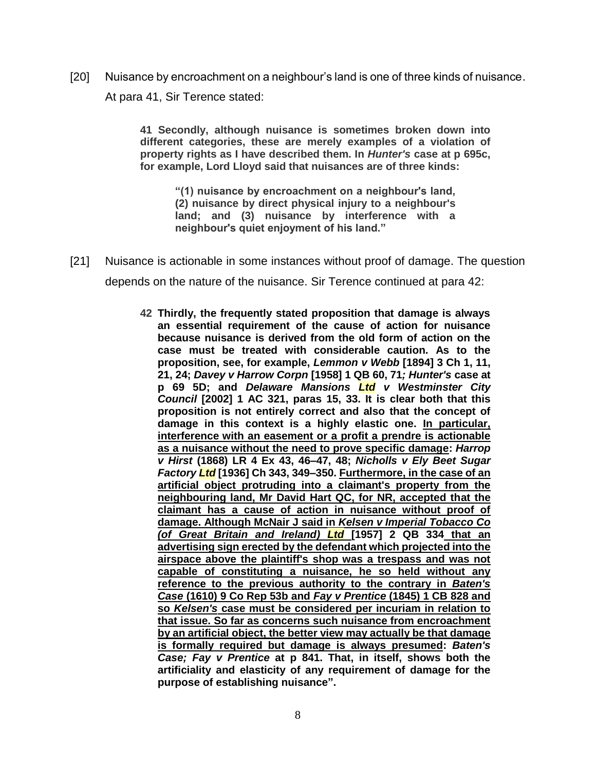[20] Nuisance by encroachment on a neighbour's land is one of three kinds of nuisance. At para 41, Sir Terence stated:

> **41 Secondly, although nuisance is sometimes broken down into different categories, these are merely examples of a violation of property rights as I have described them. In** *Hunter's* **case at p 695c, for example, Lord Lloyd said that nuisances are of three kinds:**

**"(1) nuisance by encroachment on a neighbour's land, (2) nuisance by direct physical injury to a neighbour's land; and (3) nuisance by interference with a neighbour's quiet enjoyment of his land."**

- [21] Nuisance is actionable in some instances without proof of damage. The question depends on the nature of the nuisance. Sir Terence continued at para 42:
	- **42 Thirdly, the frequently stated proposition that damage is always an essential requirement of the cause of action for nuisance because nuisance is derived from the old form of action on the case must be treated with considerable caution. As to the proposition, see, for example,** *Lemmon v Webb* **[\[1894\] 3 Ch](https://www.lexisnexis.com/uk/legal/search/enhRunRemoteLink.do?linkInfo=F%23GB%23CH%23sel1%251894%25vol%253%25year%251894%25page%251%25sel2%253%25&A=0.22868999722965055&backKey=20_T469800789&service=citation&ersKey=23_T469800756&langcountry=GB) 1, 11, 21, 24;** *Davey v Harrow Corpn* **[\[1958\]](https://www.lexisnexis.com/uk/legal/search/enhRunRemoteLink.do?linkInfo=F%23GB%23QB%23sel1%251958%25vol%251%25year%251958%25page%2560%25sel2%251%25&A=0.31657171514213844&backKey=20_T469800789&service=citation&ersKey=23_T469800756&langcountry=GB) 1 QB 60, 71***; Hunter's* **case at p 69 5D; and** *Delaware Mansions Ltd v Westminster City Council* **[\[2](https://www.lexisnexis.com/uk/legal/search/enhRunRemoteLink.do?linkInfo=F%23GB%23AC%23sel1%252002%25vol%251%25year%252002%25page%25321%25sel2%251%25&A=0.5551421695876126&backKey=20_T469800789&service=citation&ersKey=23_T469800756&langcountry=GB)002] 1 AC 321, paras 15, 33. It is clear both that this proposition is not entirely correct and also that the concept of damage in this context is a highly elastic one. In particular, interference with an easement or a profit a prendre is actionable as a nuisance without the need to prove specific damage:** *Harrop v Hirst* **(1868) LR 4 Ex 43, 46–47, 48;** *Nicholls v Ely Beet Sugar Factory Ltd* **[\[1936\] Ch 343,](https://www.lexisnexis.com/uk/legal/search/enhRunRemoteLink.do?linkInfo=F%23GB%23CH%23sel1%251936%25year%251936%25page%25343%25&A=0.3565757443367663&backKey=20_T469800789&service=citation&ersKey=23_T469800756&langcountry=GB) 349–350. Furthermore, in the case of an artificial object protruding into a claimant's property from the neighbouring land, Mr David Hart QC, for NR, accepted that the claimant has a cause of action in nuisance without proof of damage. Although McNair J said in** *Kelsen v Imperial Tobacco Co (of Great Britain and Ireland) Ltd* **[\[1957\] 2 QB 334](https://www.lexisnexis.com/uk/legal/search/enhRunRemoteLink.do?linkInfo=F%23GB%23QB%23sel1%251957%25vol%252%25year%251957%25page%25334%25sel2%252%25&A=0.2287917151144644&backKey=20_T469800789&service=citation&ersKey=23_T469800756&langcountry=GB) that an advertising sign erected by the defendant which projected into the airspace above the plaintiff's shop was a trespass and was not capable of constituting a nuisance, he so held without any reference to the previous authority to the contrary in** *Baten's Case* **(1610) 9 Co Rep 53b and** *Fay v Prentice* **(1845) 1 CB 828 and so** *Kelsen's* **case must be considered per incuriam in relation to that issue. So far as concerns such nuisance from encroachment by an artificial object, the better view may actually be that damage is formally required but damage is always presumed:** *Baten's Case; Fay v Prentice* **at p 841. That, in itself, shows both the artificiality and elasticity of any requirement of damage for the purpose of establishing nuisance".**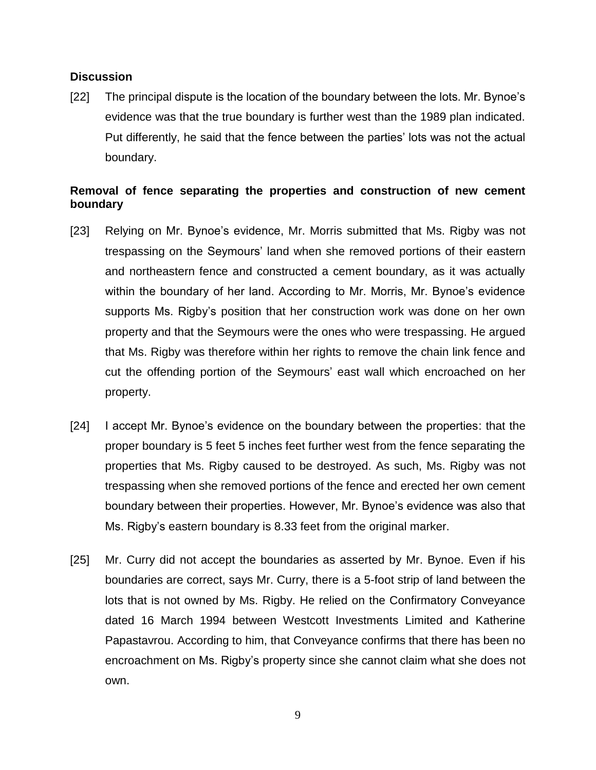#### **Discussion**

[22] The principal dispute is the location of the boundary between the lots. Mr. Bynoe's evidence was that the true boundary is further west than the 1989 plan indicated. Put differently, he said that the fence between the parties' lots was not the actual boundary.

### **Removal of fence separating the properties and construction of new cement boundary**

- [23] Relying on Mr. Bynoe's evidence, Mr. Morris submitted that Ms. Rigby was not trespassing on the Seymours' land when she removed portions of their eastern and northeastern fence and constructed a cement boundary, as it was actually within the boundary of her land. According to Mr. Morris, Mr. Bynoe's evidence supports Ms. Rigby's position that her construction work was done on her own property and that the Seymours were the ones who were trespassing. He argued that Ms. Rigby was therefore within her rights to remove the chain link fence and cut the offending portion of the Seymours' east wall which encroached on her property.
- [24] I accept Mr. Bynoe's evidence on the boundary between the properties: that the proper boundary is 5 feet 5 inches feet further west from the fence separating the properties that Ms. Rigby caused to be destroyed. As such, Ms. Rigby was not trespassing when she removed portions of the fence and erected her own cement boundary between their properties. However, Mr. Bynoe's evidence was also that Ms. Rigby's eastern boundary is 8.33 feet from the original marker.
- [25] Mr. Curry did not accept the boundaries as asserted by Mr. Bynoe. Even if his boundaries are correct, says Mr. Curry, there is a 5-foot strip of land between the lots that is not owned by Ms. Rigby. He relied on the Confirmatory Conveyance dated 16 March 1994 between Westcott Investments Limited and Katherine Papastavrou. According to him, that Conveyance confirms that there has been no encroachment on Ms. Rigby's property since she cannot claim what she does not own.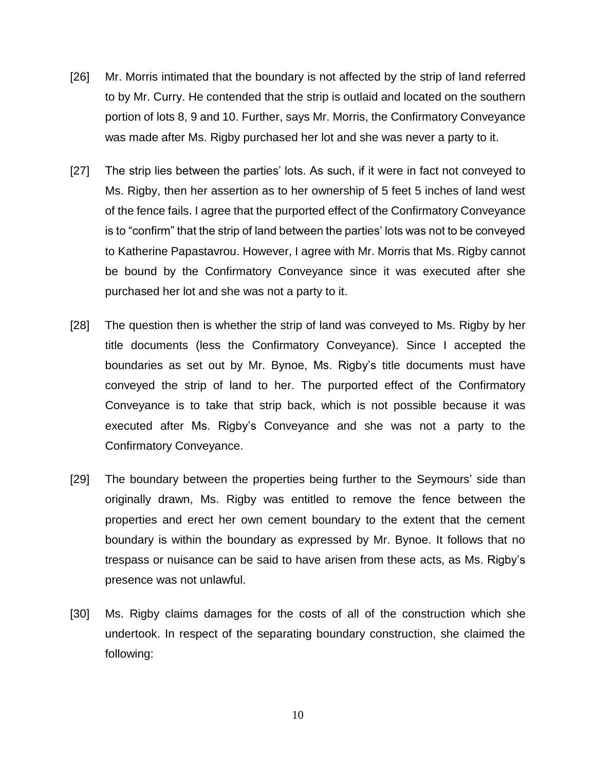- [26] Mr. Morris intimated that the boundary is not affected by the strip of land referred to by Mr. Curry. He contended that the strip is outlaid and located on the southern portion of lots 8, 9 and 10. Further, says Mr. Morris, the Confirmatory Conveyance was made after Ms. Rigby purchased her lot and she was never a party to it.
- [27] The strip lies between the parties' lots. As such, if it were in fact not conveyed to Ms. Rigby, then her assertion as to her ownership of 5 feet 5 inches of land west of the fence fails. I agree that the purported effect of the Confirmatory Conveyance is to "confirm" that the strip of land between the parties' lots was not to be conveyed to Katherine Papastavrou. However, I agree with Mr. Morris that Ms. Rigby cannot be bound by the Confirmatory Conveyance since it was executed after she purchased her lot and she was not a party to it.
- [28] The question then is whether the strip of land was conveyed to Ms. Rigby by her title documents (less the Confirmatory Conveyance). Since I accepted the boundaries as set out by Mr. Bynoe, Ms. Rigby's title documents must have conveyed the strip of land to her. The purported effect of the Confirmatory Conveyance is to take that strip back, which is not possible because it was executed after Ms. Rigby's Conveyance and she was not a party to the Confirmatory Conveyance.
- [29] The boundary between the properties being further to the Seymours' side than originally drawn, Ms. Rigby was entitled to remove the fence between the properties and erect her own cement boundary to the extent that the cement boundary is within the boundary as expressed by Mr. Bynoe. It follows that no trespass or nuisance can be said to have arisen from these acts, as Ms. Rigby's presence was not unlawful.
- [30] Ms. Rigby claims damages for the costs of all of the construction which she undertook. In respect of the separating boundary construction, she claimed the following: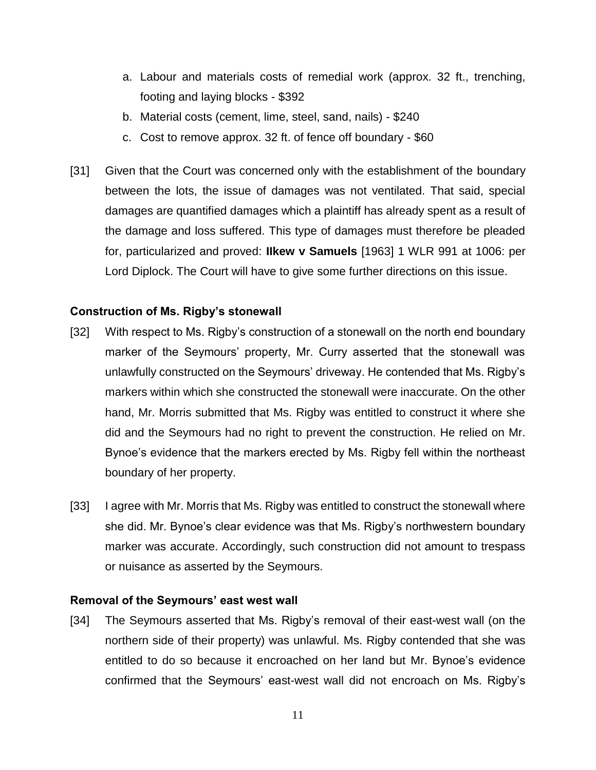- a. Labour and materials costs of remedial work (approx. 32 ft., trenching, footing and laying blocks - \$392
- b. Material costs (cement, lime, steel, sand, nails) \$240
- c. Cost to remove approx. 32 ft. of fence off boundary \$60
- [31] Given that the Court was concerned only with the establishment of the boundary between the lots, the issue of damages was not ventilated. That said, special damages are quantified damages which a plaintiff has already spent as a result of the damage and loss suffered. This type of damages must therefore be pleaded for, particularized and proved: **IIkew v Samuels** [1963] 1 WLR 991 at 1006: per Lord Diplock. The Court will have to give some further directions on this issue.

#### **Construction of Ms. Rigby's stonewall**

- [32] With respect to Ms. Rigby's construction of a stonewall on the north end boundary marker of the Seymours' property, Mr. Curry asserted that the stonewall was unlawfully constructed on the Seymours' driveway. He contended that Ms. Rigby's markers within which she constructed the stonewall were inaccurate. On the other hand, Mr. Morris submitted that Ms. Rigby was entitled to construct it where she did and the Seymours had no right to prevent the construction. He relied on Mr. Bynoe's evidence that the markers erected by Ms. Rigby fell within the northeast boundary of her property.
- [33] I agree with Mr. Morris that Ms. Rigby was entitled to construct the stonewall where she did. Mr. Bynoe's clear evidence was that Ms. Rigby's northwestern boundary marker was accurate. Accordingly, such construction did not amount to trespass or nuisance as asserted by the Seymours.

#### **Removal of the Seymours' east west wall**

[34] The Seymours asserted that Ms. Rigby's removal of their east-west wall (on the northern side of their property) was unlawful. Ms. Rigby contended that she was entitled to do so because it encroached on her land but Mr. Bynoe's evidence confirmed that the Seymours' east-west wall did not encroach on Ms. Rigby's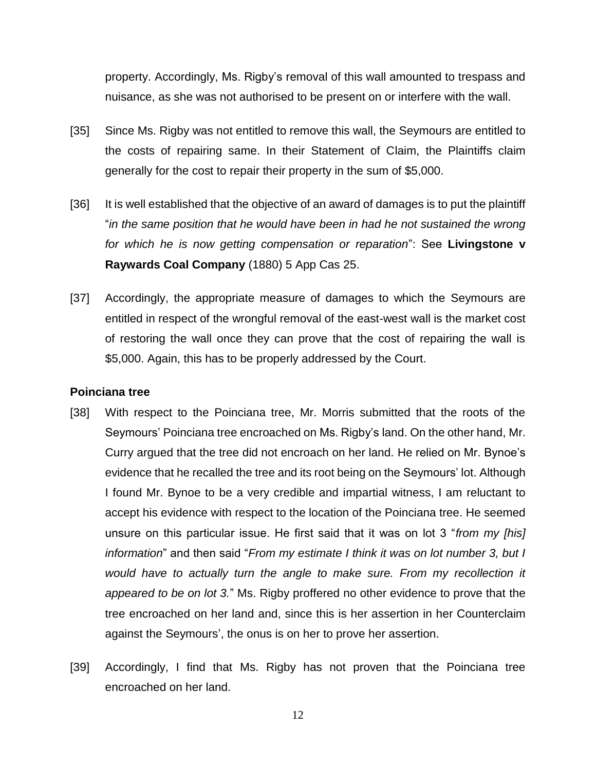property. Accordingly, Ms. Rigby's removal of this wall amounted to trespass and nuisance, as she was not authorised to be present on or interfere with the wall.

- [35] Since Ms. Rigby was not entitled to remove this wall, the Seymours are entitled to the costs of repairing same. In their Statement of Claim, the Plaintiffs claim generally for the cost to repair their property in the sum of \$5,000.
- [36] It is well established that the objective of an award of damages is to put the plaintiff "*in the same position that he would have been in had he not sustained the wrong for which he is now getting compensation or reparation*": See **Livingstone v Raywards Coal Company** (1880) 5 App Cas 25.
- [37] Accordingly, the appropriate measure of damages to which the Seymours are entitled in respect of the wrongful removal of the east-west wall is the market cost of restoring the wall once they can prove that the cost of repairing the wall is \$5,000. Again, this has to be properly addressed by the Court.

#### **Poinciana tree**

- [38] With respect to the Poinciana tree, Mr. Morris submitted that the roots of the Seymours' Poinciana tree encroached on Ms. Rigby's land. On the other hand, Mr. Curry argued that the tree did not encroach on her land. He relied on Mr. Bynoe's evidence that he recalled the tree and its root being on the Seymours' lot. Although I found Mr. Bynoe to be a very credible and impartial witness, I am reluctant to accept his evidence with respect to the location of the Poinciana tree. He seemed unsure on this particular issue. He first said that it was on lot 3 "*from my [his] information*" and then said "*From my estimate I think it was on lot number 3, but I would have to actually turn the angle to make sure. From my recollection it appeared to be on lot 3.*" Ms. Rigby proffered no other evidence to prove that the tree encroached on her land and, since this is her assertion in her Counterclaim against the Seymours', the onus is on her to prove her assertion.
- [39] Accordingly, I find that Ms. Rigby has not proven that the Poinciana tree encroached on her land.